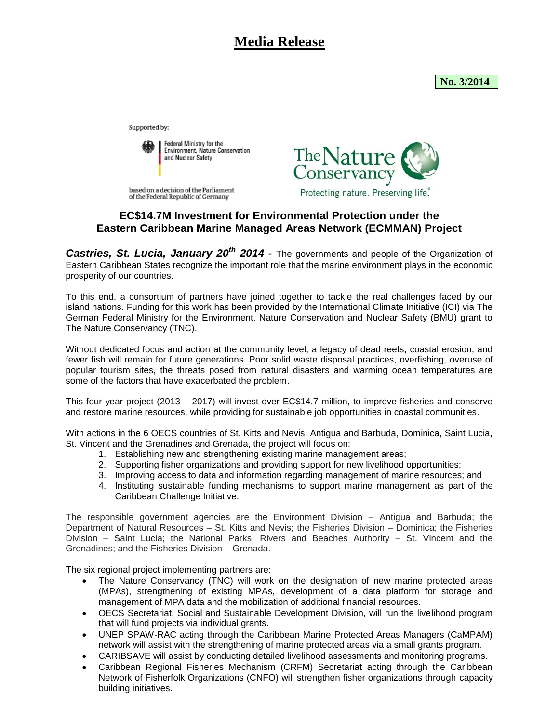## **Media Release**

**No. 3/2014** 

Supported by:



based on a decision of the Parliament of the Federal Republic of Germany



## **EC\$14.7M Investment for Environmental Protection under the Eastern Caribbean Marine Managed Areas Network (ECMMAN) Project**

**Castries, St. Lucia, January 20<sup>th</sup> 2014** - The governments and people of the Organization of Eastern Caribbean States recognize the important role that the marine environment plays in the economic prosperity of our countries.

To this end, a consortium of partners have joined together to tackle the real challenges faced by our island nations. Funding for this work has been provided by the International Climate Initiative (ICI) via The German Federal Ministry for the Environment, Nature Conservation and Nuclear Safety (BMU) grant to The Nature Conservancy (TNC).

Without dedicated focus and action at the community level, a legacy of dead reefs, coastal erosion, and fewer fish will remain for future generations. Poor solid waste disposal practices, overfishing, overuse of popular tourism sites, the threats posed from natural disasters and warming ocean temperatures are some of the factors that have exacerbated the problem.

This four year project (2013 – 2017) will invest over EC\$14.7 million, to improve fisheries and conserve and restore marine resources, while providing for sustainable job opportunities in coastal communities.

With actions in the 6 OECS countries of St. Kitts and Nevis, Antigua and Barbuda, Dominica, Saint Lucia, St. Vincent and the Grenadines and Grenada, the project will focus on:

- 1. Establishing new and strengthening existing marine management areas;
- 2. Supporting fisher organizations and providing support for new livelihood opportunities;
- 3. Improving access to data and information regarding management of marine resources; and
- 4. Instituting sustainable funding mechanisms to support marine management as part of the Caribbean Challenge Initiative.

The responsible government agencies are the Environment Division – Antigua and Barbuda; the Department of Natural Resources – St. Kitts and Nevis; the Fisheries Division – Dominica; the Fisheries Division – Saint Lucia; the National Parks, Rivers and Beaches Authority – St. Vincent and the Grenadines; and the Fisheries Division – Grenada.

The six regional project implementing partners are:

- The Nature Conservancy (TNC) will work on the designation of new marine protected areas (MPAs), strengthening of existing MPAs, development of a data platform for storage and management of MPA data and the mobilization of additional financial resources.
- OECS Secretariat, Social and Sustainable Development Division, will run the livelihood program that will fund projects via individual grants.
- UNEP SPAW-RAC acting through the Caribbean Marine Protected Areas Managers (CaMPAM) network will assist with the strengthening of marine protected areas via a small grants program.
- CARIBSAVE will assist by conducting detailed livelihood assessments and monitoring programs.
- Caribbean Regional Fisheries Mechanism (CRFM) Secretariat acting through the Caribbean Network of Fisherfolk Organizations (CNFO) will strengthen fisher organizations through capacity building initiatives.